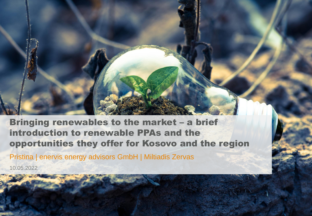#### Bringing renewables to the market – a brief introduction to renewable PPAs and the opportunities they offer for Kosovo and the region

Pristina | enervis energy advisors GmbH | Miltiadis Zervas

10.05.2022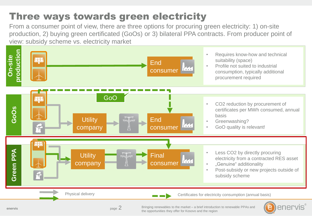### Three ways towards green electricity

From a consumer point of view, there are three options for procuring green electricity: 1) on-site production, 2) buying green certificated (GoOs) or 3) bilateral PPA contracts. From producer point of view: subsidy scheme vs. electricity market



**enervis**

page 2

Bringing renewables to the market – a brief introduction to renewable PPAs and the opportunities they offer for Kosovo and the region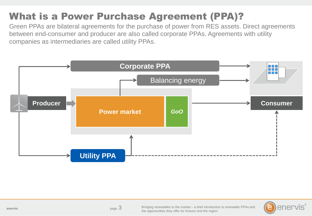# What is a Power Purchase Agreement (PPA)?

Green PPAs are bilateral agreements for the purchase of power from RES assets. Direct agreements between end-consumer and producer are also called corporate PPAs. Agreements with utility companies as intermediaries are called utility PPAs.



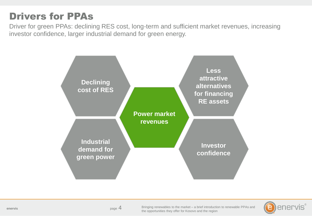#### Drivers for PPAs

Driver for green PPAs: declining RES cost, long-term and sufficient market revenues, increasing investor confidence, larger industrial demand for green energy.



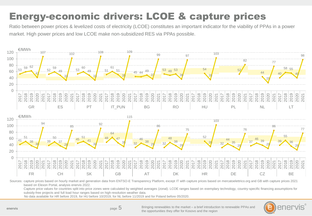### Energy-economic drivers: LCOE & capture prices

Ratio between power prices & levelized costs of electricity (LCOE) constitutes an important indicator for the viability of PPAs in a power market. High power prices and low LCOE make non-subsidized RES via PPAs possible.



Sources: capture prices based on hourly market and generation data from ENTSO-E Transparency Platform, except IT with capture prices based on mercatoelettrico.org and GB with capture prices 2021 based on Elexon Portal, analysis enervis 2022.

Capture price values for countries split into price zones were calculated by weighted averages (zonal). LCOE ranges based on exemplary technology, country-specific financing assumptions for subsidy-free projects and full load hour ranges based on high-resolution weather data.

No data available for HR before 2019, for HU before 10/2019, for NL before 11/2019 and for Poland before 05/2020.



**enervis**

page 5

Bringing renewables to the market – a brief introduction to renewable PPAs and the opportunities they offer for Kosovo and the region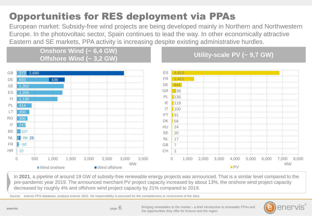# Opportunities for RES deployment via PPAs

European market: Subsidy-free wind projects are being developed mainly in Northern and Northwestern Europe. In the photovoltaic sector, Spain continues to lead the way. In other economically attractive Eastern and SE markets, PPA activity is increasing despite existing administrative hurdles.

> **Onshore Wind (~ 6,4 GW) Offshore Wind (~ 3,2 GW) Utility-scale PV (~ 9,7 GW)**



In **2021**, a pipeline of around 19 GW of subsidy-free renewable energy projects was announced. That is a similar level compared to the pre-pandemic year 2019. The announced merchant PV project capacity increased by about 13%, the onshore wind project capacity decreased by roughly 4% and offshore wind project capacity by 21% compared to 2019.

Source: enervis PPA database, analysis enervis 2022. No responsibility is assumed for the completeness or correctness of the data.

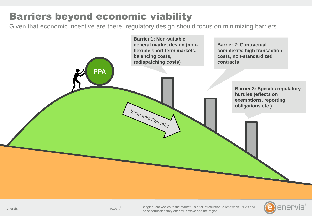# Barriers beyond economic viability

Given that economic incentive are there, regulatory design should focus on minimizing barriers.





page  $/$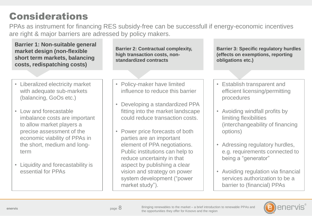### Considerations

PPAs as instrument for financing RES subsidy-free can be successfull if energy-economic incentives are right & major barriers are adressed by policy makers.

**Barrier 2: Contractual complexity, high transaction costs, nonstandardized contracts Barrier 3: Specific regulatory hurdles (effects on exemptions, reporting obligations etc.) Barrier 1: Non-suitable general market design (non-flexible short term markets, balancing costs, redispatching costs)**  • Liberalized electricity market with adequate sub-markets (balancing, GoOs etc.) • Low and forecastable imbalance costs are important to allow market players a precise assessment of the economic viability of PPAs in the short, medium and longterm • Liquidity and forecastability is essential for PPAs • Establish transparent and efficient licensing/permitting procedures • Avoiding windfall profits by limiting flexibilities (interchangeability of financing options) • Adressing regulatory hurdles, e.g. requirements connected to being a "generator" • Avoiding regulation via financial services authorization to be a • Policy-maker have limited influence to reduce this barrier • Developing a standardized PPA fitting into the market landscape could reduce transaction costs. • Power price forecasts of both parties are an important element of PPA negotiations. Public institutions can help to reduce uncertainty in that aspect by publishing a clear vision and strategy on power system development ("power



barrier to (financial) PPAs

market study").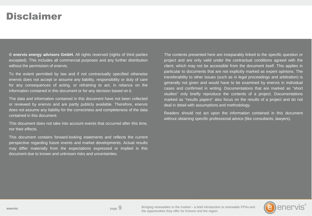#### Disclaimer

**© enervis energy advisors GmbH.** All rights reserved (rights of third parties excepted). This includes all commercial purposes and any further distribution without the permission of enervis.

To the extent permitted by law and if not contractually specified otherwise enervis does not accept or assume any liability, responsibility or duty of care for any consequences of acting, or refraining to act, in reliance on the information contained in this document or for any decision based on it.

The data and information contained in this document have not been collected or reviewed by enervis and are partly publicly available. Therefore, enervis does not assume any liability for the correctness and completeness of the data contained in this document.

This document does not take into account events that occurred after this time, nor their effects.

This document contains forward-looking statements and reflects the current perspective regarding future events and market developments. Actual results may differ materially from the expectations expressed or implied in this document due to known and unknown risks and uncertainties.

The contents presented here are inseparably linked to the specific question or project and are only valid under the contractual conditions agreed with the client, which may not be accessible from the document itself. This applies in particular to documents that are not explicitly marked as expert opinions. The transferability to other issues (such as in legal proceedings and arbitration) is generally not given and would have to be examined by enervis in individual cases and confirmed in writing. Documentations that are marked as "short studies" only briefly reproduce the contents of a project. Documentations marked as "results papers" also focus on the results of a project and do not deal in detail with assumptions and methodology.

Readers should not act upon the information contained in this document without obtaining specific professional advice (like consultants, lawyers).